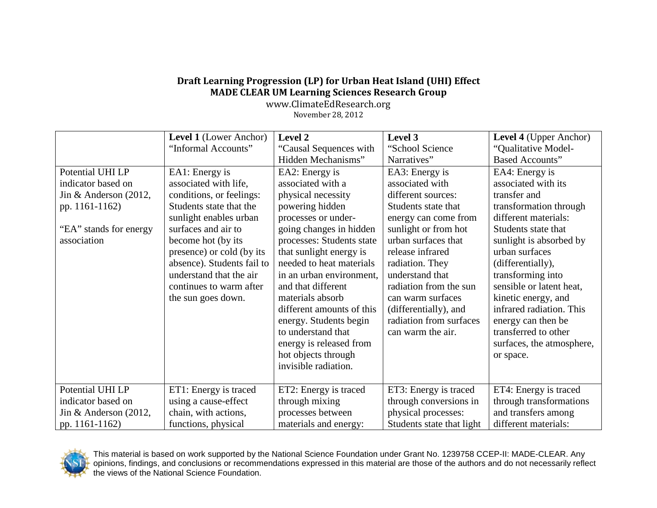## **Draft Learning Progression (LP) for Urban Heat Island (UHI) Effect MADE CLEAR UM Learning Sciences Research Group**

www.ClimateEdResearch.org November 28, 2012

|                         | Level 1 (Lower Anchor)     | Level 2                   | Level 3                   | Level 4 (Upper Anchor)    |
|-------------------------|----------------------------|---------------------------|---------------------------|---------------------------|
|                         | "Informal Accounts"        | "Causal Sequences with    | "School Science           | "Qualitative Model-       |
|                         |                            | Hidden Mechanisms"        | Narratives"               | <b>Based Accounts"</b>    |
| Potential UHI LP        | EA1: Energy is             | EA2: Energy is            | EA3: Energy is            | EA4: Energy is            |
| indicator based on      | associated with life,      | associated with a         | associated with           | associated with its       |
| Jin & Anderson $(2012,$ | conditions, or feelings:   | physical necessity        | different sources:        | transfer and              |
| pp. 1161-1162)          | Students state that the    | powering hidden           | Students state that       | transformation through    |
|                         | sunlight enables urban     | processes or under-       | energy can come from      | different materials:      |
| "EA" stands for energy  | surfaces and air to        | going changes in hidden   | sunlight or from hot      | Students state that       |
| association             | become hot (by its         | processes: Students state | urban surfaces that       | sunlight is absorbed by   |
|                         | presence) or cold (by its  | that sunlight energy is   | release infrared          | urban surfaces            |
|                         | absence). Students fail to | needed to heat materials  | radiation. They           | (differentially),         |
|                         | understand that the air    | in an urban environment,  | understand that           | transforming into         |
|                         | continues to warm after    | and that different        | radiation from the sun    | sensible or latent heat,  |
|                         | the sun goes down.         | materials absorb          | can warm surfaces         | kinetic energy, and       |
|                         |                            | different amounts of this | (differentially), and     | infrared radiation. This  |
|                         |                            | energy. Students begin    | radiation from surfaces   | energy can then be        |
|                         |                            | to understand that        | can warm the air.         | transferred to other      |
|                         |                            | energy is released from   |                           | surfaces, the atmosphere, |
|                         |                            | hot objects through       |                           | or space.                 |
|                         |                            | invisible radiation.      |                           |                           |
|                         |                            |                           |                           |                           |
| Potential UHI LP        | ET1: Energy is traced      | ET2: Energy is traced     | ET3: Energy is traced     | ET4: Energy is traced     |
| indicator based on      | using a cause-effect       | through mixing            | through conversions in    | through transformations   |
| Jin & Anderson $(2012,$ | chain, with actions,       | processes between         | physical processes:       | and transfers among       |
| pp. 1161-1162)          | functions, physical        | materials and energy:     | Students state that light | different materials:      |



This material is based on work supported by the National Science Foundation under Grant No. 1239758 CCEP-II: MADE-CLEAR. Any opinions, findings, and conclusions or recommendations expressed in this material are those of the authors and do not necessarily reflect the views of the National Science Foundation.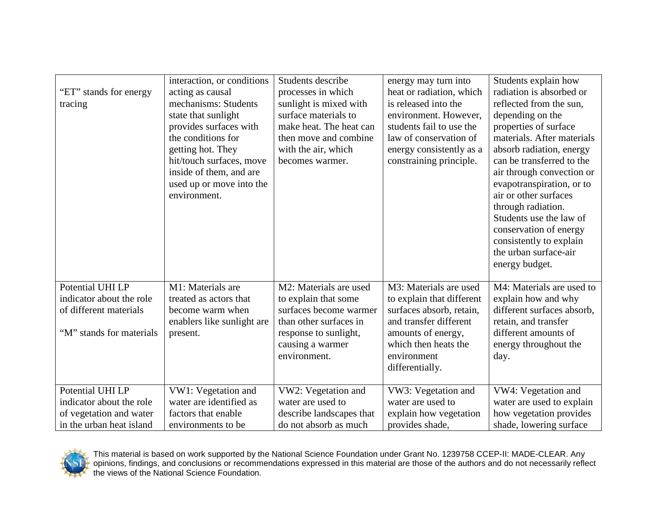| "ET" stands for energy<br>tracing                                                                   | interaction, or conditions<br>acting as causal<br>mechanisms: Students<br>state that sunlight<br>provides surfaces with<br>the conditions for<br>getting hot. They<br>hit/touch surfaces, move<br>inside of them, and are<br>used up or move into the<br>environment. | Students describe<br>processes in which<br>sunlight is mixed with<br>surface materials to<br>make heat. The heat can<br>then move and combine<br>with the air, which<br>becomes warmer. | energy may turn into<br>heat or radiation, which<br>is released into the<br>environment. However,<br>students fail to use the<br>law of conservation of<br>energy consistently as a<br>constraining principle. | Students explain how<br>radiation is absorbed or<br>reflected from the sun,<br>depending on the<br>properties of surface<br>materials. After materials<br>absorb radiation, energy<br>can be transferred to the<br>air through convection or<br>evapotranspiration, or to<br>air or other surfaces<br>through radiation.<br>Students use the law of<br>conservation of energy<br>consistently to explain<br>the urban surface-air<br>energy budget. |
|-----------------------------------------------------------------------------------------------------|-----------------------------------------------------------------------------------------------------------------------------------------------------------------------------------------------------------------------------------------------------------------------|-----------------------------------------------------------------------------------------------------------------------------------------------------------------------------------------|----------------------------------------------------------------------------------------------------------------------------------------------------------------------------------------------------------------|-----------------------------------------------------------------------------------------------------------------------------------------------------------------------------------------------------------------------------------------------------------------------------------------------------------------------------------------------------------------------------------------------------------------------------------------------------|
| Potential UHI LP<br>indicator about the role<br>of different materials<br>"M" stands for materials  | M1: Materials are<br>treated as actors that<br>become warm when<br>enablers like sunlight are<br>present.                                                                                                                                                             | M2: Materials are used<br>to explain that some<br>surfaces become warmer<br>than other surfaces in<br>response to sunlight,<br>causing a warmer<br>environment.                         | M3: Materials are used<br>to explain that different<br>surfaces absorb, retain,<br>and transfer different<br>amounts of energy,<br>which then heats the<br>environment<br>differentially.                      | M4: Materials are used to<br>explain how and why<br>different surfaces absorb,<br>retain, and transfer<br>different amounts of<br>energy throughout the<br>day.                                                                                                                                                                                                                                                                                     |
| Potential UHI LP<br>indicator about the role<br>of vegetation and water<br>in the urban heat island | VW1: Vegetation and<br>water are identified as<br>factors that enable<br>environments to be                                                                                                                                                                           | VW2: Vegetation and<br>water are used to<br>describe landscapes that<br>do not absorb as much                                                                                           | VW3: Vegetation and<br>water are used to<br>explain how vegetation<br>provides shade,                                                                                                                          | VW4: Vegetation and<br>water are used to explain<br>how vegetation provides<br>shade, lowering surface                                                                                                                                                                                                                                                                                                                                              |



This material is based on work supported by the National Science Foundation under Grant No. 1239758 CCEP-II: MADE-CLEAR. Any opinions, findings, and conclusions or recommendations expressed in this material are those of the authors and do not necessarily reflect the views of the National Science Foundation.